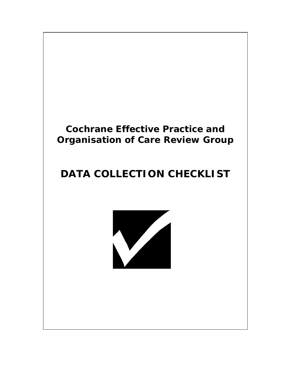# **Cochrane Effective Practice and Organisation of Care Review Group**

# **DATA COLLECTION CHECKLIST**

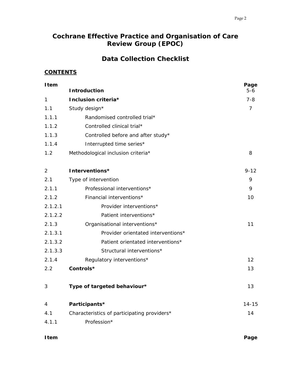# **Cochrane Effective Practice and Organisation of Care Review Group (EPOC)**

# **Data Collection Checklist**

# **CONTENTS**

| <b>I</b> tem | <b>Introduction</b>                         | Page<br>$5 - 6$ |
|--------------|---------------------------------------------|-----------------|
| 1            | Inclusion criteria*                         | $7 - 8$         |
| 1.1          | Study design*                               | 7               |
| 1.1.1        | Randomised controlled trial*                |                 |
| 1.1.2        | Controlled clinical trial*                  |                 |
| 1.1.3        | Controlled before and after study*          |                 |
| 1.1.4        | Interrupted time series*                    |                 |
| 1.2          | Methodological inclusion criteria*          | 8               |
| 2            | Interventions*                              | $9 - 12$        |
| 2.1          | Type of intervention                        | 9               |
| 2.1.1        | Professional interventions*                 | 9               |
| 2.1.2        | Financial interventions*                    | 10              |
| 2.1.2.1      | Provider interventions*                     |                 |
| 2.1.2.2      | Patient interventions*                      |                 |
| 2.1.3        | Organisational interventions*               | 11              |
| 2.1.3.1      | Provider orientated interventions*          |                 |
| 2.1.3.2      | Patient orientated interventions*           |                 |
| 2.1.3.3      | Structural interventions*                   |                 |
| 2.1.4        | Regulatory interventions*                   | 12              |
| 2.2          | Controls*                                   | 13              |
| 3            | Type of targeted behaviour*                 | 13              |
| 4            | Participants*                               | $14 - 15$       |
| 4.1          | Characteristics of participating providers* | 14              |
| 4.1.1        | Profession*                                 |                 |
| <b>I</b> tem |                                             | Page            |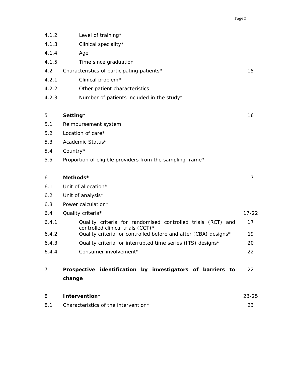- 4.1.3 Clinical speciality\*
- 4.1.4 Age
- 4.1.5 Time since graduation
- 4.2 Characteristics of participating patients\* 15
- 4.2.1 Clinical problem\*
- 4.2.2 Other patient characteristics
- 4.2.3 Number of patients included in the study\*
- 5 **Setting\*** 16
- 5.1 Reimbursement system
- 5.2 Location of care\*
- 5.3 Academic Status\*
- 5.4 Country\*
- 5.5 Proportion of eligible providers from the sampling frame\*

| 6 | Methods* |  |
|---|----------|--|
|   |          |  |

- 6.1 Unit of allocation\*
- 6.2 Unit of analysis\*
- 6.3 Power calculation\*
- 6.4 Quality criteria\* 17-22

| 6.4.1 | Quality criteria for randomised controlled trials (RCT) and<br>controlled clinical trials (CCT)* | 17 |
|-------|--------------------------------------------------------------------------------------------------|----|
| 6.4.2 | Quality criteria for controlled before and after (CBA) designs*                                  | 19 |
| 6.4.3 | Quality criteria for interrupted time series (ITS) designs*                                      | 20 |
| 6.4.4 | Consumer involvement*                                                                            | 22 |

7 **Prospective identification by investigators of barriers to change** 22

| 8   | Intervention*                        | 23-25 |
|-----|--------------------------------------|-------|
| 8.1 | Characteristics of the intervention* |       |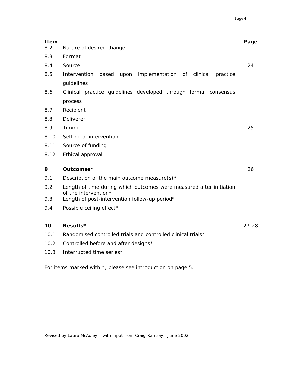| <b>I</b> tem |                                                                                             | Page      |
|--------------|---------------------------------------------------------------------------------------------|-----------|
| 8.2          | Nature of desired change                                                                    |           |
| 8.3          | Format                                                                                      |           |
| 8.4          | Source                                                                                      | 24        |
| 8.5          | implementation of clinical<br>Intervention<br>based<br>upon<br>practice                     |           |
|              | guidelines                                                                                  |           |
| 8.6          | Clinical practice guidelines developed through formal consensus                             |           |
|              | process                                                                                     |           |
| 8.7          | Recipient                                                                                   |           |
| 8.8          | Deliverer                                                                                   |           |
| 8.9          | Timing                                                                                      | 25        |
| 8.10         | Setting of intervention                                                                     |           |
| 8.11         | Source of funding                                                                           |           |
| 8.12         | Ethical approval                                                                            |           |
|              |                                                                                             |           |
| 9            | Outcomes*                                                                                   | 26        |
| 9.1          | Description of the main outcome measure(s)*                                                 |           |
| 9.2          | Length of time during which outcomes were measured after initiation<br>of the intervention* |           |
| 9.3          | Length of post-intervention follow-up period*                                               |           |
| 9.4          | Possible ceiling effect*                                                                    |           |
|              |                                                                                             |           |
| 10           | Results*                                                                                    | $27 - 28$ |
| 10.1         | Randomised controlled trials and controlled clinical trials*                                |           |
| 10.2         | Controlled before and after designs*                                                        |           |
| 10.3         | Interrupted time series*                                                                    |           |

For items marked with \*, please see introduction on page 5.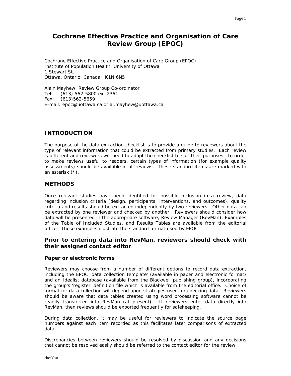# **Cochrane Effective Practice and Organisation of Care Review Group (EPOC)**

Cochrane Effective Practice and Organisation of Care Group (EPOC) Institute of Population Health, University of Ottawa 1 Stewart St. Ottawa, Ontario, Canada K1N 6N5

Alain Mayhew, Review Group Co-ordinator Tel: (613) 562-5800 ext 2361 Fax: (613)562-5659 E-mail: epoc@uottawa.ca or al.mayhew@uottawa.ca

# *INTRODUCTION*

The purpose of the data extraction checklist is to provide a guide to reviewers about the type of relevant information that could be extracted from primary studies. Each review is different and reviewers will need to adapt the checklist to suit their purposes. In order to make reviews useful to readers, certain types of information (for example quality assessments) should be available in all reviews. These standard items are marked with an asterisk (\*).

# **METHODS**

Once relevant studies have been identified for possible inclusion in a review, data regarding inclusion criteria (design, participants, interventions, and outcomes), quality criteria and results should be extracted independently by two reviewers. Other data can be extracted by one reviewer and checked by another. Reviewers should consider how data will be presented in the appropriate software, Review Manager (RevMan). Examples of the Table of Included Studies, and Results Tables are available from the editorial office. These examples illustrate the standard format used by EPOC.

# **Prior to entering data into RevMan, reviewers should check with their assigned contact editor**.

#### **Paper or electronic forms**

Reviewers may choose from a number of different options to record data extraction, including the EPOC 'data collection template' (available in paper and electronic format) and an Idealist database (available from the Blackwell publishing group), incorporating the group's 'register' definition file which is available from the editorial office. Choice of format for data collection will depend upon strategies used for checking data. Reviewers should be aware that data tables created using word processing software cannot be readily transferred into RevMan (at present). If reviewers enter data directly into RevMan, then reviews should be exported frequently for safekeeping.

During data collection, it may be useful for reviewers to indicate the source page numbers against each item recorded as this facilitates later comparisons of extracted data.

Discrepancies between reviewers should be resolved by discussion and any decisions that cannot be resolved easily should be referred to the contact editor for the review.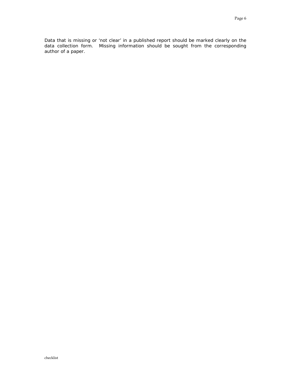Data that is missing or 'not clear' in a published report should be marked clearly on the data collection form. Missing information should be sought from the corresponding author of a paper.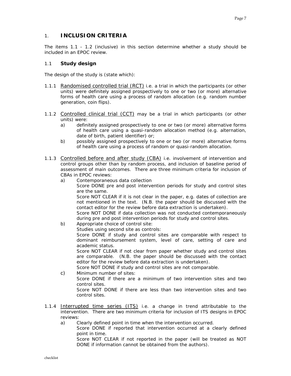# 1. **INCLUSION CRITERIA**

The items 1.1 - 1.2 (inclusive) in this section determine whether a study should be included in an EPOC review.

#### 1.1 **Study design**

The design of the study is (state which):

- 1.1.1 *Randomised controlled trial (RCT)* i.e. a trial in which the participants (or other units) were definitely assigned prospectively to one or two (or more) alternative forms of health care using a process of random allocation (e.g. random number generation, coin flips).
- 1.1.2 *Controlled clinical trial (CCT)* may be a trial in which participants (or other units) were:
	- a) definitely assigned prospectively to one or two (or more) alternative forms of health care using a quasi-random allocation method (e.g. alternation, date of birth, patient identifier) or;
	- b) possibly assigned prospectively to one or two (or more) alternative forms of health care using a process of random or quasi-random allocation.
- 1.1.3 *Controlled before and after study (CBA)* i.e. involvement of intervention and control groups other than by random process, and inclusion of baseline period of assessment of main outcomes. There are three minimum criteria for inclusion of CBAs in EPOC reviews:
	- a) *Contemporaneous data collection* Score DONE pre and post intervention periods for study and control sites are the same. Score NOT CLEAR if it is not clear in the paper, e.g. dates of collection are not mentioned in the text. (N.B. the paper should be discussed with the contact editor for the review before data extraction is undertaken). Score NOT DONE if data collection was not conducted contemporaneously during pre and post intervention periods for study and control sites. b) *Appropriate choice of control site:* Studies using second site as controls: Score DONE if study and control sites are comparable with respect to dominant reimbursement system, level of care, setting of care and academic status.

Score NOT CLEAR if not clear from paper whether study and control sites are comparable. (N.B. the paper should be discussed with the contact editor for the review before data extraction is undertaken).

Score NOT DONE if study and control sites are not comparable.

c) Minimum number of sites:

Score DONE if there are a minimum of two intervention sites and two control sites.

Score NOT DONE if there are less than two intervention sites and two control sites.

- 1.1.4 *Interrupted time series (ITS)* i.e. a change in trend attributable to the intervention. There are two minimum criteria for inclusion of ITS designs in EPOC reviews:
	- a) *Clearly defined point in time when the intervention occurred.*

Score DONE if reported that intervention occurred at a clearly defined point in time.

Score NOT CLEAR if not reported in the paper (will be treated as NOT DONE if information cannot be obtained from the authors).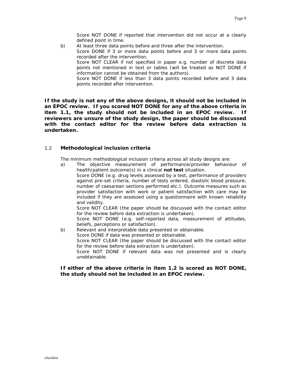Score NOT DONE if reported that intervention did not occur at a clearly defined point in time.

b) *At least three data points before and three after the intervention.*  Score DONE if 3 or more data points before and 3 or more data points recorded after the intervention. Score NOT CLEAR if not specified in paper e.g. number of discrete data points not mentioned in text or tables (will be treated as NOT DONE if information cannot be obtained from the authors). Score NOT DONE if less than 3 data points recorded before and 3 data points recorded after intervention.

*If the study is not any of the above designs, it should not be included in an EPOC review. If you scored NOT DONE for any of the above criteria in item 1.1, the study should not be included in an EPOC review. If reviewers are unsure of the study design, the paper should be discussed with the contact editor for the review before data extraction is undertaken.* 

# 1.2 **Methodological inclusion criteria**

The minimum methodological inclusion criteria across all study designs are:

- a) *The objective measurement of performance/provider behaviour of health/patient outcome(s) in a clinical not test situation.*  Score DONE (e.g. drug levels assessed by a test, performance of providers against pre-set criteria, number of tests ordered, diastolic blood pressure, number of caesarean sections performed etc.). Outcome measures such as provider satisfaction with work or patient satisfaction with care may be included if they are assessed using a questionnaire with known reliability and validity. Score NOT CLEAR (the paper should be discussed with the contact editor for the review before data extraction is undertaken). Score NOT DONE (e.g. self-reported data, measurement of attitudes, beliefs, perceptions or satisfaction). b) *Relevant and interpretable data presented or obtainable.*
- Score DONE if data was presented or obtainable. Score NOT CLEAR (the paper should be discussed with the contact editor for the review before data extraction is undertaken). Score NOT DONE if relevant data was not presented and is clearly unobtainable.

# *If either of the above criteria in item 1.2 is scored as NOT DONE, the study should not be included in an EPOC review.*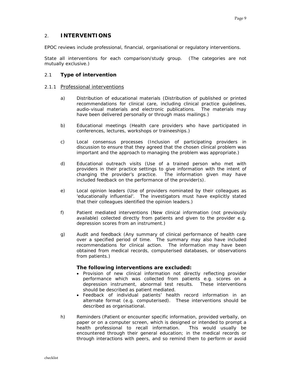# 2. **INTERVENTIONS**

EPOC reviews include professional, financial, organisational or regulatory interventions.

State all interventions for each comparison/study group. (The categories are not mutually exclusive.)

### 2.1 **Type of intervention**

#### 2.1.1 *Professional interventions*

- a) Distribution of educational materials (Distribution of published or printed recommendations for clinical care, including clinical practice guidelines, audio-visual materials and electronic publications. The materials may have been delivered personally or through mass mailings.)
- b) Educational meetings (Health care providers who have participated in conferences, lectures, workshops or traineeships.)
- c) Local consensus processes (Inclusion of participating providers in discussion to ensure that they agreed that the chosen clinical problem was important and the approach to managing the problem was appropriate.)
- d) Educational outreach visits (Use of a trained person who met with providers in their practice settings to give information with the intent of changing the provider's practice. The information given may have included feedback on the performance of the provider(s).
- e) Local opinion leaders (Use of providers nominated by their colleagues as 'educationally influential'. The investigators must have explicitly stated that their colleagues identified the opinion leaders.)
- f) Patient mediated interventions (New clinical information (not previously available) collected directly from patients and given to the provider e.g. depression scores from an instrument.)
- g) Audit and feedback (Any summary of clinical performance of health care over a specified period of time. The summary may also have included recommendations for clinical action. The information may have been obtained from medical records, computerised databases, or observations from patients.)

#### **The following interventions are excluded:**

- Provision of new clinical information not directly reflecting provider performance which was collected from patients e.g. scores on a depression instrument, abnormal test results. These interventions should be described as patient mediated.
- Feedback of individual patients' health record information in an alternate format (e.g. computerised). These interventions should be described as organisational.
- h) Reminders (Patient or encounter specific information, provided verbally, on paper or on a computer screen, which is designed or intended to prompt a health professional to recall information. This would usually be encountered through their general education; in the medical records or through interactions with peers, and so remind them to perform or avoid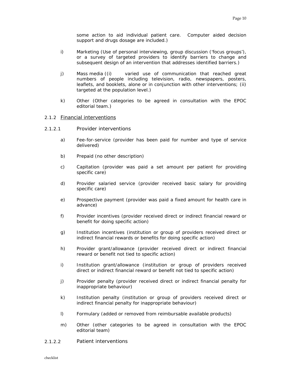some action to aid individual patient care. Computer aided decision support and drugs dosage are included.)

- i) Marketing (Use of personal interviewing, group discussion ('focus groups'), or a survey of targeted providers to identify barriers to change and subsequent design of an intervention that addresses identified barriers.)
- j) Mass media ((i) varied use of communication that reached great numbers of people including television, radio, newspapers, posters, leaflets, and booklets, alone or in conjunction with other interventions; (ii) targeted at the population level.)
- k) Other (Other categories to be agreed in consultation with the EPOC editorial team.)

#### 2.1.2 *Financial interventions*

#### 2.1.2.1 *Provider interventions*

- a) Fee-for-service (provider has been paid for number and type of service delivered)
- b) Prepaid (no other description)
- c) Capitation (provider was paid a set amount per patient for providing specific care)
- d) Provider salaried service (provider received basic salary for providing specific care)
- e) Prospective payment (provider was paid a fixed amount for health care in advance)
- f) Provider incentives (provider received direct or indirect financial reward or benefit for doing specific action)
- g) Institution incentives (institution or group of providers received direct or indirect financial rewards or benefits for doing specific action)
- h) Provider grant/allowance (provider received direct or indirect financial reward or benefit not tied to specific action)
- i) Institution grant/allowance (institution or group of providers received direct or indirect financial reward or benefit not tied to specific action)
- j) Provider penalty (provider received direct or indirect financial penalty for inappropriate behaviour)
- k) Institution penalty (institution or group of providers received direct or indirect financial penalty for inappropriate behaviour)
- l) Formulary (added or removed from reimbursable available products)
- m) Other (other categories to be agreed in consultation with the EPOC editorial team)
- 2.1.2.2 *Patient interventions*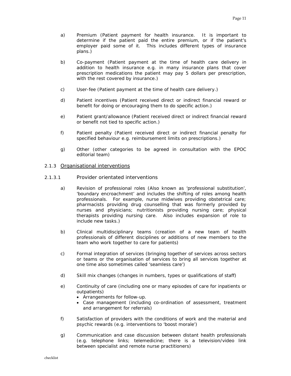- a) Premium (Patient payment for health insurance. It is important to determine if the patient paid the entire premium, or if the patient's employer paid some of it. This includes different types of insurance plans.)
- b) Co-payment (Patient payment at the time of health care delivery in addition to health insurance e.g. in many insurance plans that cover prescription medications the patient may pay 5 dollars per prescription, with the rest covered by insurance.)
- c) User-fee (Patient payment at the time of health care delivery.)
- d) Patient incentives (Patient received direct or indirect financial reward or benefit for doing or encouraging them to do specific action.)
- e) Patient grant/allowance (Patient received direct or indirect financial reward or benefit not tied to specific action.)
- f) Patient penalty (Patient received direct or indirect financial penalty for specified behaviour e.g. reimbursement limits on prescriptions.)
- g) Other (other categories to be agreed in consultation with the EPOC editorial team)

#### 2.1.3 *Organisational interventions*

#### 2.1.3.1 *Provider orientated interventions*

- a) Revision of professional roles (Also known as 'professional substitution', 'boundary encroachment' and includes the shifting of roles among health professionals. For example, nurse midwives providing obstetrical care; pharmacists providing drug counselling that was formerly provided by nurses and physicians; nutritionists providing nursing care; physical therapists providing nursing care. Also includes expansion of role to include new tasks.)
- b) Clinical multidisciplinary teams (creation of a new team of health professionals of different disciplines or additions of new members to the team who work together to care for patients)
- c) Formal integration of services (bringing together of services across sectors or teams or the organisation of services to bring all services together at one time also sometimes called 'seamless care')
- d) Skill mix changes (changes in numbers, types or qualifications of staff)
- e) Continuity of care (including one or many episodes of care for inpatients or outpatients)
	- Arrangements for follow-up.
	- Case management (including co-ordination of assessment, treatment and arrangement for referrals)
- f) Satisfaction of providers with the conditions of work and the material and psychic rewards (e.g. interventions to 'boost morale')
- g) Communication and case discussion between distant health professionals (e.g. telephone links; telemedicine; there is a television/video link between specialist and remote nurse practitioners)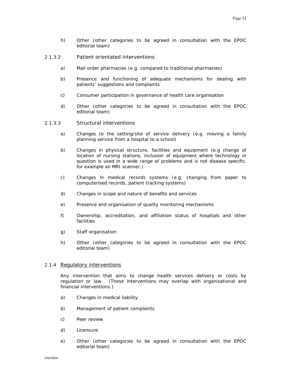h) Other (other categories to be agreed in consultation with the EPOC editorial team)

#### 2.1.3.2 *Patient orientated interventions*

- a) Mail order pharmacies (e.g. compared to traditional pharmacies)
- b) Presence and functioning of adequate mechanisms for dealing with patients' suggestions and complaints
- c) Consumer participation in governance of health care organisation
- d) Other (other categories to be agreed in consultation with the EPOC editorial team)
- 2.1.3.3 *Structural interventions* 
	- a) Changes to the setting/site of service delivery (e.g. moving a family planning service from a hospital to a school)
	- b) Changes in physical structure, facilities and equipment (e.g change of location of nursing stations, inclusion of equipment where technology in question is used in a wide range of problems and is not disease specific, for example an MRI scanner.)
	- c) Changes in medical records systems (e.g. changing from paper to computerised records, patient tracking systems)
	- d) Changes in scope and nature of benefits and services
	- e) Presence and organisation of quality monitoring mechanisms
	- f) Ownership, accreditation, and affiliation status of hospitals and other facilities
	- g) Staff organisation
	- h) Other (other categories to be agreed in consultation with the EPOC editorial team)

# 2.1.4 *Regulatory interventions*

Any intervention that aims to change health services delivery or costs by regulation or law. (These interventions may overlap with organisational and financial interventions.)

- a) Changes in medical liability
- b) Management of patient complaints
- c) Peer review
- d) Licensure
- e) Other (other categories to be agreed in consultation with the EPOC editorial team)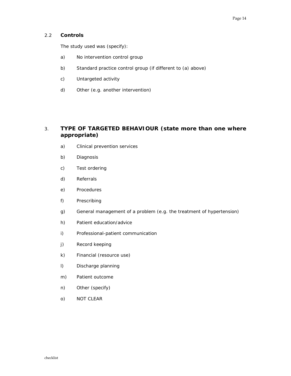# 2.2 **Controls**

The study used was (specify):

- a) No intervention control group
- b) Standard practice control group (if different to (a) above)
- c) Untargeted activity
- d) Other (e.g. another intervention)

# 3. **TYPE OF TARGETED BEHAVIOUR (state more than one where appropriate)**

- a) Clinical prevention services
- b) Diagnosis
- c) Test ordering
- d) Referrals
- e) Procedures
- f) Prescribing
- g) General management of a problem (e.g. the treatment of hypertension)
- h) Patient education/advice
- i) Professional-patient communication
- j) Record keeping
- k) Financial (resource use)
- l) Discharge planning
- m) Patient outcome
- n) Other (specify)
- o) NOT CLEAR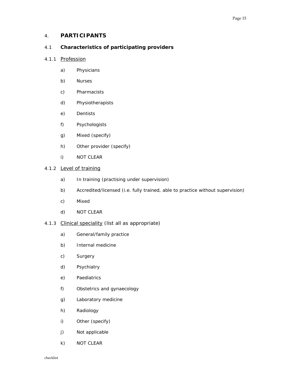# 4. **PARTICIPANTS**

# 4.1 **Characteristics of participating providers**

#### 4.1.1 *Profession*

- a) Physicians
- b) Nurses
- c) Pharmacists
- d) Physiotherapists
- e) Dentists
- f) Psychologists
- g) Mixed (specify)
- h) Other provider (specify)
- i) NOT CLEAR

# 4.1.2 *Level of training*

- a) In training (practising under supervision)
- b) Accredited/licensed (i.e. fully trained, able to practice without supervision)
- c) Mixed
- d) NOT CLEAR
- 4.1.3 *Clinical speciality (list all as appropriate)*
	- a) General/family practice
	- b) Internal medicine
	- c) Surgery
	- d) Psychiatry
	- e) Paediatrics
	- f) Obstetrics and gynaecology
	- g) Laboratory medicine
	- h) Radiology
	- i) Other (specify)
	- j) Not applicable
	- k) NOT CLEAR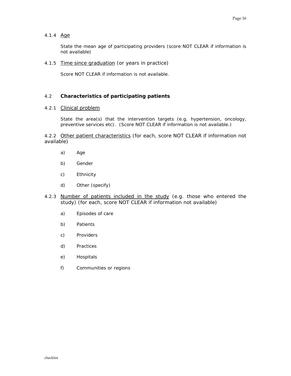4.1.4 *Age*

State the mean age of participating providers (score NOT CLEAR if information is not available)

4.1.5 *Time since graduation (or years in practice)*

Score NOT CLEAR if information is not available.

# 4.2 **Characteristics of participating patients**

4.2.1 *Clinical problem*

State the area(s) that the intervention targets (e.g. hypertension, oncology, preventive services etc). (Score NOT CLEAR if information is not available.)

4.2.2 *Other patient characteristics (for each, score NOT CLEAR if information not available)*

- a) Age
- b) Gender
- c) Ethnicity
- d) Other (specify)
- 4.2.3 *Number of patients included in the study (e.g. those who entered the study) (for each, score NOT CLEAR if information not available)*
	- a) Episodes of care
	- b) Patients
	- c) Providers
	- d) Practices
	- e) Hospitals
	- f) Communities or regions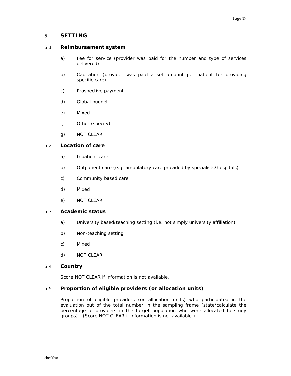# 5. **SETTING**

#### 5.1 **Reimbursement system**

- a) Fee for service (provider was paid for the number and type of services delivered)
- b) Capitation (provider was paid a set amount per patient for providing specific care)
- c) Prospective payment
- d) Global budget
- e) Mixed
- f) Other (specify)
- g) NOT CLEAR

### 5.2 **Location of care**

- a) Inpatient care
- b) Outpatient care (e.g. ambulatory care provided by specialists/hospitals)
- c) Community based care
- d) Mixed
- e) NOT CLEAR

#### 5.3 **Academic status**

- a) University based/teaching setting (i.e. not simply university affiliation)
- b) Non-teaching setting
- c) Mixed
- d) NOT CLEAR

#### 5.4 **Country**

Score NOT CLEAR if information is not available.

# 5.5 **Proportion of eligible providers (or allocation units)**

Proportion of eligible providers (or allocation units) who participated in the evaluation out of the total number in the sampling frame (state/calculate the percentage of providers in the target population who were allocated to study groups). (Score NOT CLEAR if information is not available.)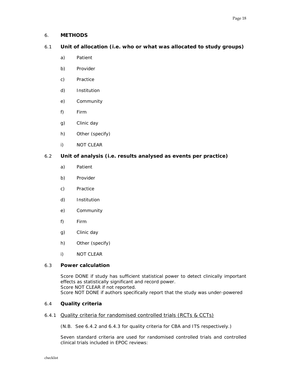#### 6. **METHODS**

# 6.1 **Unit of allocation (i.e. who or what was allocated to study groups)**

- a) Patient
- b) Provider
- c) Practice
- d) Institution
- e) Community
- f) Firm
- g) Clinic day
- h) Other (specify)
- i) NOT CLEAR

# 6.2 **Unit of analysis (i.e. results analysed as events per practice)**

- a) Patient
- b) Provider
- c) Practice
- d) Institution
- e) Community
- f) Firm
- g) Clinic day
- h) Other (specify)
- i) NOT CLEAR

# 6.3 **Power calculation**

Score DONE if study has sufficient statistical power to detect clinically important effects as statistically significant and record power. Score NOT CLEAR if not reported. Score NOT DONE if authors specifically report that the study was under-powered

# 6.4 **Quality criteria**

# 6.4.1 *Quality criteria for randomised controlled trials (RCTs & CCTs)*

(N.B. See 6.4.2 and 6.4.3 for quality criteria for CBA and ITS respectively.)

Seven standard criteria are used for randomised controlled trials and controlled clinical trials included in EPOC reviews: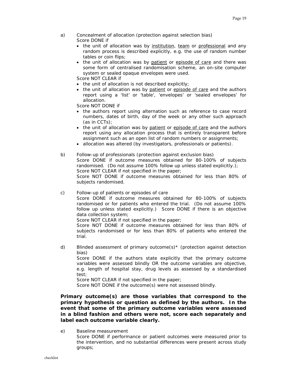- a) Concealment of allocation (protection against selection bias)
	- Score DONE if
	- the unit of allocation was by institution, team or professional and any random process is described explicitly, e.g. the use of random number tables or coin flips;
	- the unit of allocation was by patient or episode of care and there was some form of centralised randomisation scheme, an on-site computer system or sealed opaque envelopes were used.

Score NOT CLEAR if

- the unit of allocation is not described explicitly;
- the unit of allocation was by patient or episode of care and the authors report using a 'list' or 'table', 'envelopes' or 'sealed envelopes' for allocation.

Score NOT DONE if

- the authors report using alternation such as reference to case record numbers, dates of birth, day of the week or any other such approach (as in CCTs);
- the unit of allocation was by patient or episode of care and the authors report using any allocation process that is entirely transparent before assignment such as an open list of random numbers or assignments;
- allocation was altered (by investigators, professionals or patients).
- b) Follow-up of professionals (protection against exclusion bias) Score DONE if outcome measures obtained for 80-100% of subjects randomised. (Do not assume 100% follow up unless stated explicitly.); Score NOT CLEAR if not specified in the paper; Score NOT DONE if outcome measures obtained for less than 80% of subjects randomised.
- c) Follow-up of patients or episodes of care Score DONE if outcome measures obtained for 80-100% of subjects randomised or for patients who entered the trial. (Do not assume 100% follow up unless stated explicitly.) Score DONE if there is an objective data collection system;

Score NOT CLEAR if not specified in the paper;

Score NOT DONE if outcome measures obtained for less than 80% of subjects randomised or for less than 80% of patients who entered the trial.

d) Blinded assessment of primary outcome(s)\* (protection against detection bias)

Score DONE if the authors state explicitly that the primary outcome variables were assessed blindly OR the outcome variables are objective, e.g. length of hospital stay, drug levels as assessed by a standardised test;

Score NOT CLEAR if not specified in the paper;

Score NOT DONE if the outcome(s) were not assessed blindly.

# *Primary outcome(s) are those variables that correspond to the primary hypothesis or question as defined by the authors. In the event that some of the primary outcome variables were assessed in a blind fashion and others were not, score each separately and label each outcome variable clearly.*

e) Baseline measurement Score DONE if performance or patient outcomes were measured prior to the intervention, and no substantial differences were present across study groups;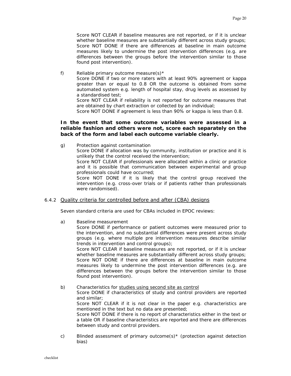Score NOT CLEAR if baseline measures are not reported, or if it is unclear whether baseline measures are substantially different across study groups; Score NOT DONE if there are differences at baseline in main outcome measures likely to undermine the post intervention differences (e.g. are differences between the groups before the intervention similar to those found post intervention).

f) Reliable primary outcome measure(s) $*$ Score DONE if two or more raters with at least 90% agreement or kappa greater than or equal to 0.8 OR the outcome is obtained from some automated system e.g. length of hospital stay, drug levels as assessed by a standardised test; Score NOT CLEAR if reliability is not reported for outcome measures that are obtained by chart extraction or collected by an individual;

Score NOT DONE if agreement is less than 90% or kappa is less than 0.8.

# *In the event that some outcome variables were assessed in a reliable fashion and others were not, score each separately on the back of the form and label each outcome variable clearly.*

g) Protection against contamination Score DONE if allocation was by community, institution or practice and it is unlikely that the control received the intervention; Score NOT CLEAR if professionals were allocated within a clinic or practice and it is possible that communication between experimental and group professionals could have occurred; Score NOT DONE if it is likely that the control group received the intervention (e.g. cross-over trials or if patients rather than professionals were randomised).

# 6.4.2 *Quality criteria for controlled before and after (CBA) designs*

Seven standard criteria are used for CBAs included in EPOC reviews:

a) Baseline measurement

Score DONE if performance or patient outcomes were measured prior to the intervention, and no substantial differences were present across study groups (e.g. where multiple pre intervention measures describe similar trends in intervention and control groups);

Score NOT CLEAR if baseline measures are not reported, or if it is unclear whether baseline measures are substantially different across study groups; Score NOT DONE if there are differences at baseline in main outcome measures likely to undermine the post intervention differences (e.g. are differences between the groups before the intervention similar to those found post intervention).

- b) Characteristics for studies using second site as control Score DONE if characteristics of study and control providers are reported and similar; Score NOT CLEAR if it is not clear in the paper e.g. characteristics are mentioned in the text but no data are presented; Score NOT DONE if there is no report of characteristics either in the text or a table OR if baseline characteristics are reported and there are differences between study and control providers.
- c) Blinded assessment of primary outcome(s)\* (protection against detection bias)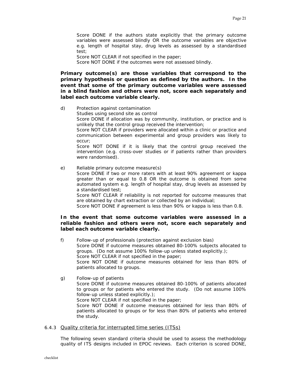Score DONE if the authors state explicitly that the primary outcome variables were assessed blindly OR the outcome variables are objective e.g. length of hospital stay, drug levels as assessed by a standardised test;

Score NOT CLEAR if not specified in the paper;

Score NOT DONE if the outcomes were not assessed blindly.

# *Primary outcome(s) are those variables that correspond to the primary hypothesis or question as defined by the authors. In the event that some of the primary outcome variables were assessed in a blind fashion and others were not, score each separately and label each outcome variable clearly.*

d) Protection against contamination Studies using second site as control Score DONE if allocation was by community, institution, or practice and is unlikely that the control group received the intervention; Score NOT CLEAR if providers were allocated within a clinic or practice and communication between experimental and group providers was likely to occur; Score NOT DONE if it is likely that the control group received the intervention (e.g. cross-over studies or if patients rather than providers were randomised).

e) Reliable primary outcome measure(s) Score DONE if two or more raters with at least 90% agreement or kappa greater than or equal to 0.8 OR the outcome is obtained from some automated system e.g. length of hospital stay, drug levels as assessed by a standardised test; Score NOT CLEAR if reliability is not reported for outcome measures that

are obtained by chart extraction or collected by an individual;

Score NOT DONE if agreement is less than 90% or kappa is less than 0.8.

# *In the event that some outcome variables were assessed in a reliable fashion and others were not, score each separately and label each outcome variable clearly.*

f) Follow-up of professionals (protection against exclusion bias) Score DONE if outcome measures obtained 80-100% subjects allocated to groups. (Do not assume 100% follow-up unless stated explicitly.); Score NOT CLEAR if not specified in the paper; Score NOT DONE if outcome measures obtained for less than 80% of patients allocated to groups.

g) Follow-up of patients Score DONE if outcome measures obtained 80-100% of patients allocated to groups or for patients who entered the study. (Do not assume 100% follow-up unless stated explicitly.); Score NOT CLEAR if not specified in the paper; Score NOT DONE if outcome measures obtained for less than 80% of patients allocated to groups or for less than 80% of patients who entered the study.

#### 6.4.3 *Quality criteria for interrupted time series (ITSs)*

The following seven standard criteria should be used to assess the methodology quality of ITS designs included in EPOC reviews. Each criterion is scored DONE,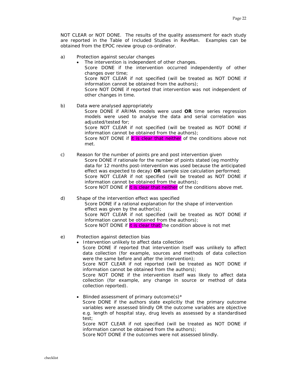NOT CLEAR or NOT DONE. The results of the quality assessment for each study are reported in the Table of Included Studies in RevMan. Examples can be obtained from the EPOC review group co-ordinator.

- a) Protection against secular changes
	- The intervention is independent of other changes. Score DONE if the intervention occurred independently of other changes over time; Score NOT CLEAR if not specified (will be treated as NOT DONE if information cannot be obtained from the authors); Score NOT DONE if reported that intervention was not independent of other changes in time.
- b) Data were analysed appropriately Score DONE if ARIMA models were used **OR** time series regression models were used to analyse the data and serial correlation was adjusted/tested for; Score NOT CLEAR if not specified (will be treated as NOT DONE if information cannot be obtained from the authors); Score NOT DONE if it is clear that neither of the conditions above not met.
- c) Reason for the number of points pre and post intervention given Score DONE if rationale for the number of points stated (eg monthly data for 12 months post-intervention was used because the anticipated effect was expected to decay) **OR** sample size calculation performed; Score NOT CLEAR if not specified (will be treated as NOT DONE if information cannot be obtained from the authors); Score NOT DONE if it is clear that neither of the conditions above met.
- d) Shape of the intervention effect was specified Score DONE if a rational explanation for the shape of intervention effect was given by the author(s); Score NOT CLEAR if not specified (will be treated as NOT DONE if information cannot be obtained from the authors); Score NOT DONE if it is clear that the condition above is not met
- e) Protection against detection bias
	- Intervention unlikely to affect data collection Score DONE if reported that intervention itself was unlikely to affect data collection (for example, sources and methods of data collection were the same before and after the intervention); Score NOT CLEAR if not reported (will be treated as NOT DONE if information cannot be obtained from the authors); Score NOT DONE if the intervention itself was likely to affect data collection (for example, any change in source or method of data collection reported).
	- Blinded assessment of primary outcome $(s)^*$ Score DONE if the authors state explicitly that the primary outcome variables were assessed blindly OR the outcome variables are objective e.g. length of hospital stay, drug levels as assessed by a standardised test;

Score NOT CLEAR if not specified (will be treated as NOT DONE if information cannot be obtained from the authors);

Score NOT DONE if the outcomes were not assessed blindly.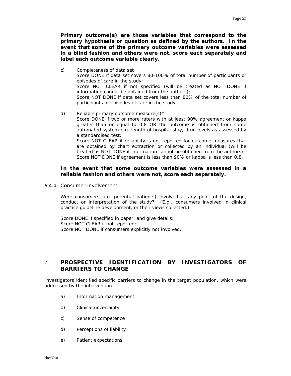*Primary outcome(s) are those variables that correspond to the primary hypothesis or question as defined by the authors. In the event that some of the primary outcome variables were assessed in a blind fashion and others were not, score each separately and label each outcome variable clearly.*

- c) Completeness of data set Score DONE if data set covers 80-100% of total number of participants or episodes of care in the study; Score NOT CLEAR if not specified (will be treated as NOT DONE if information cannot be obtained from the authors); Score NOT DONE if data set covers less than 80% of the total number of participants or episodes of care in the study.
- d) Reliable primary outcome measure(s)  $*$ Score DONE if two or more raters with at least 90% agreement or kappa greater than or equal to 0.8 OR the outcome is obtained from some automated system e.g. length of hospital stay, drug levels as assessed by a standardised test; Score NOT CLEAR if reliability is not reported for outcome measures that are obtained by chart extraction or collected by an individual (will be treated as NOT DONE if information cannot be obtained from the authors); Score NOT DONE if agreement is less than 90% or kappa is less than 0.8.

### *In the event that some outcome variables were assessed in a reliable fashion and others were not, score each separately.*

#### 6.4.4 *Consumer involvement*

Were consumers (i.e. potential patients) involved at any point of the design, conduct or interpretation of the study? (E.g., consumers involved in clinical practice guideline development, or their views collected.)

Score DONE if specified in paper, and give details; Score NOT CLEAR if not reported; Score NOT DONE if consumers explicitly not involved.

# 7. **PROSPECTIVE IDENTIFICATION BY INVESTIGATORS OF BARRIERS TO CHANGE**

Investigators identified specific barriers to change in the target population, which were addressed by the intervention

- a) Information management
- b) Clinical uncertainty
- c) Sense of competence
- d) Perceptions of liability
- e) Patient expectations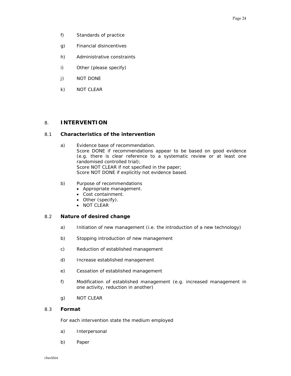- f) Standards of practice
- g) Financial disincentives
- h) Administrative constraints
- i) Other (please specify)
- j) NOT DONE
- k) NOT CLEAR

# 8. **INTERVENTION**

#### 8.1 **Characteristics of the intervention**

- a) Evidence base of recommendation. Score DONE if recommendations appear to be based on good evidence (e.g. there is clear reference to a systematic review or at least one randomised controlled trial); Score NOT CLEAR if not specified in the paper; Score NOT DONE if explicitly not evidence based.
- b) Purpose of recommendations
	- Appropriate management.
	- Cost containment.
	- Other (specify).
	- NOT CLEAR

#### 8.2 **Nature of desired change**

- a) Initiation of new management (i.e. the introduction of a new technology)
- b) Stopping introduction of new management
- c) Reduction of established management
- d) Increase established management
- e) Cessation of established management
- f) Modification of established management (e.g. increased management in one activity, reduction in another)
- g) NOT CLEAR

#### 8.3 **Format**

For each intervention state the medium employed

- a) Interpersonal
- b) Paper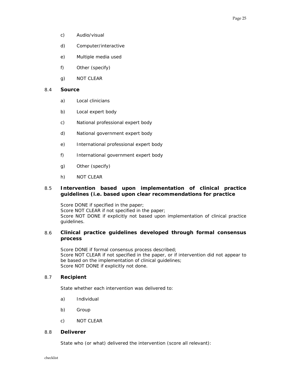- c) Audio/visual
- d) Computer/interactive
- e) Multiple media used
- f) Other (specify)
- g) NOT CLEAR

#### 8.4 **Source**

- a) Local clinicians
- b) Local expert body
- c) National professional expert body
- d) National government expert body
- e) International professional expert body
- f) International government expert body
- g) Other (specify)
- h) NOT CLEAR

## 8.5 **Intervention based upon implementation of clinical practice guidelines (i.e. based upon clear recommendations for practice**

Score DONE if specified in the paper; Score NOT CLEAR if not specified in the paper; Score NOT DONE if explicitly not based upon implementation of clinical practice guidelines.

# 8.6 **Clinical practice guidelines developed through formal consensus process**

Score DONE if formal consensus process described; Score NOT CLEAR if not specified in the paper, or if intervention did not appear to be based on the implementation of clinical guidelines; Score NOT DONE if explicitly not done.

# 8.7 **Recipient**

State whether each intervention was delivered to:

- a) Individual
- b) Group
- c) NOT CLEAR

#### 8.8 **Deliverer**

State who (or what) delivered the intervention (score all relevant):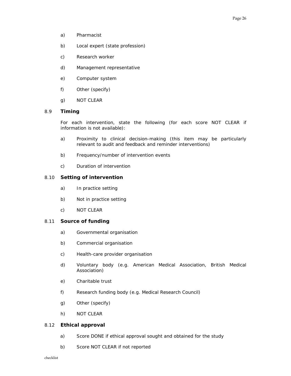- a) Pharmacist
- b) Local expert (state profession)
- c) Research worker
- d) Management representative
- e) Computer system
- f) Other (specify)
- g) NOT CLEAR

### 8.9 **Timing**

For each intervention, state the following (for each score NOT CLEAR if information is not available):

- a) Proximity to clinical decision-making (this item may be particularly relevant to audit and feedback and reminder interventions)
- b) Frequency/number of intervention events
- c) Duration of intervention

## 8.10 **Setting of intervention**

- a) In practice setting
- b) Not in practice setting
- c) NOT CLEAR

#### 8.11 **Source of funding**

- a) Governmental organisation
- b) Commercial organisation
- c) Health-care provider organisation
- d) Voluntary body (e.g. American Medical Association, British Medical Association)
- e) Charitable trust
- f) Research funding body (e.g. Medical Research Council)
- g) Other (specify)
- h) NOT CLEAR

#### 8.12 **Ethical approval**

- a) Score DONE if ethical approval sought and obtained for the study
- b) Score NOT CLEAR if not reported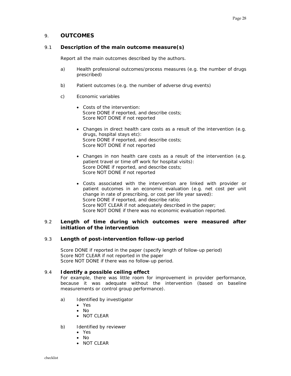# 9. **OUTCOMES**

#### 9.1 **Description of the main outcome measure(s)**

Report all the main outcomes described by the authors.

- a) Health professional outcomes/process measures (e.g. the number of drugs prescribed)
- b) Patient outcomes (e.g. the number of adverse drug events)
- c) Economic variables
	- Costs of the intervention: Score DONE if reported, and describe costs; Score NOT DONE if not reported
	- Changes in direct health care costs as a result of the intervention (e.g. drugs, hospital stays etc): Score DONE if reported, and describe costs; Score NOT DONE if not reported
	- Changes in non health care costs as a result of the intervention (e.g. patient travel or time off work for hospital visits): Score DONE if reported, and describe costs; Score NOT DONE if not reported
	- Costs associated with the intervention are linked with provider or patient outcomes in an economic evaluation (e.g. net cost per unit change in rate of prescribing, or cost per life year saved): Score DONE if reported, and describe ratio; Score NOT CLEAR if not adequately described in the paper; Score NOT DONE if there was no economic evaluation reported.

#### 9.2 **Length of time during which outcomes were measured after initiation of the intervention**

# 9.3 **Length of post-intervention follow-up period**

Score DONE if reported in the paper (specify length of follow-up period) Score NOT CLEAR if not reported in the paper Score NOT DONE if there was no follow-up period.

#### 9.4 **Identify a possible ceiling effect**

For example, there was little room for improvement in provider performance, because it was adequate without the intervention (based on baseline measurements or control group performance).

- a) Identified by investigator
	- Yes
	- No
	- NOT CLEAR
- b) Identified by reviewer
	- Yes
	- No
	- NOT CLEAR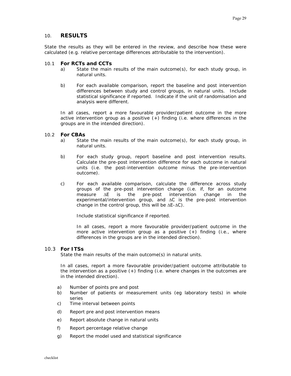#### 10. **RESULTS**

State the results as they will be entered in the review, and describe how these were calculated (e.g. relative percentage differences attributable to the intervention).

#### 10.1 **For RCTs and CCTs**

- a) State the main results of the main outcome(s), for each study group, in natural units.
- b) For each available comparison, report the baseline and post intervention differences between study and control groups, in natural units. Include statistical significance if reported. Indicate if the unit of randomisation and analysis were different.

In all cases, report a more favourable provider/patient outcome in the more active intervention group as a positive  $(+)$  finding (i.e. where differences in the groups are in the intended direction).

#### 10.2 **For CBAs**

- a) State the main results of the main outcome(s), for each study group, in natural units.
- b) For each study group, report baseline and post intervention results. Calculate the pre-post intervention difference for each outcome in natural units (i.e. the post-intervention outcome minus the pre-intervention outcome).
- c) For each available comparison, calculate the difference across study groups of the pre-post intervention change (i.e. if, for an outcome measure ΔE is the pre-post intervention change in the experimental/intervention group, and ΔC is the pre-post intervention change in the control group, this will be ΔE-ΔC).

Include statistical significance if reported.

In all cases, report a more favourable provider/patient outcome in the more active intervention group as a positive  $(+)$  finding  $(i.e.,$  where differences in the groups are in the intended direction).

#### 10.3 **For ITSs**

State the main results of the main outcome(s) in natural units.

In all cases, report a more favourable provider/patient outcome attributable to the intervention as a positive (+) finding (i.e. where changes in the outcomes are in the intended direction).

- a) Number of points pre and post
- b) Number of patients or measurement units (eg laboratory tests) in whole series
- c) Time interval between points
- d) Report pre and post intervention means
- e) Report absolute change in natural units
- f) Report percentage relative change
- g) Report the model used and statistical significance